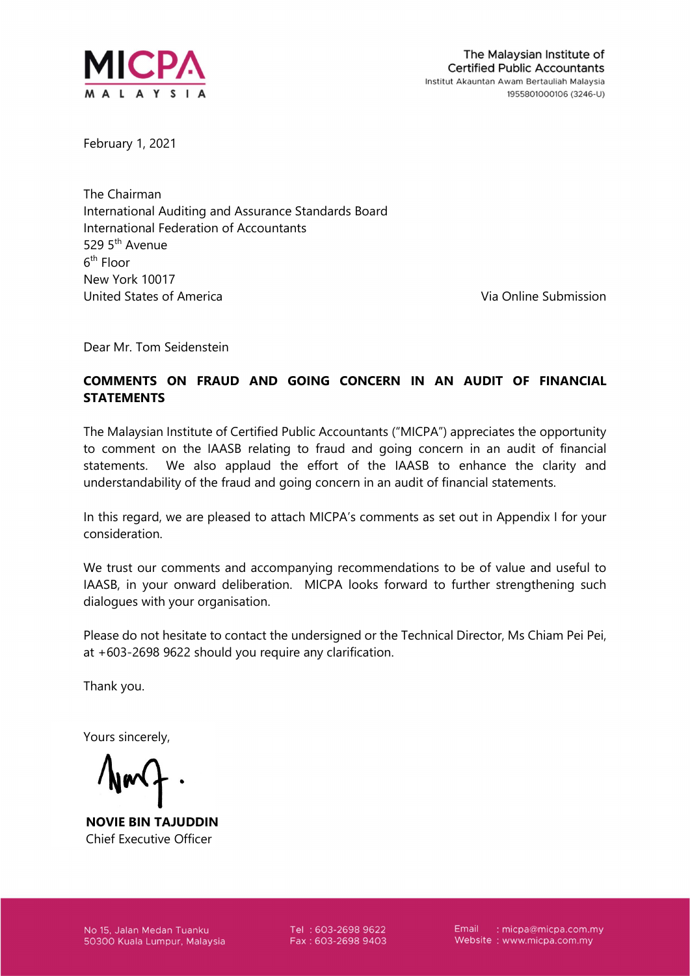

February 1, 2021

The Chairman International Auditing and Assurance Standards Board International Federation of Accountants 529 5th Avenue  $6^{\text{th}}$  Floor New York 10017 United States of America Via Online Submission

Dear Mr. Tom Seidenstein

## COMMENTS ON FRAUD AND GOING CONCERN IN AN AUDIT OF FINANCIAL **STATEMENTS**

The Malaysian Institute of Certified Public Accountants ("MICPA") appreciates the opportunity to comment on the IAASB relating to fraud and going concern in an audit of financial statements. We also applaud the effort of the IAASB to enhance the clarity and understandability of the fraud and going concern in an audit of financial statements.

In this regard, we are pleased to attach MICPA's comments as set out in Appendix I for your consideration.

We trust our comments and accompanying recommendations to be of value and useful to IAASB, in your onward deliberation. MICPA looks forward to further strengthening such dialogues with your organisation.

Please do not hesitate to contact the undersigned or the Technical Director, Ms Chiam Pei Pei, at +603-2698 9622 should you require any clarification.

Thank you.

Yours sincerely,

NOVIE BIN TAJUDDIN Chief Executive Officer

No 15, Jalan Medan Tuanku 50300 Kuala Lumpur, Malaysia Tel: 603-2698 9622 Fax: 603-2698 9403 Email : micpa@micpa.com.my Website: www.micpa.com.my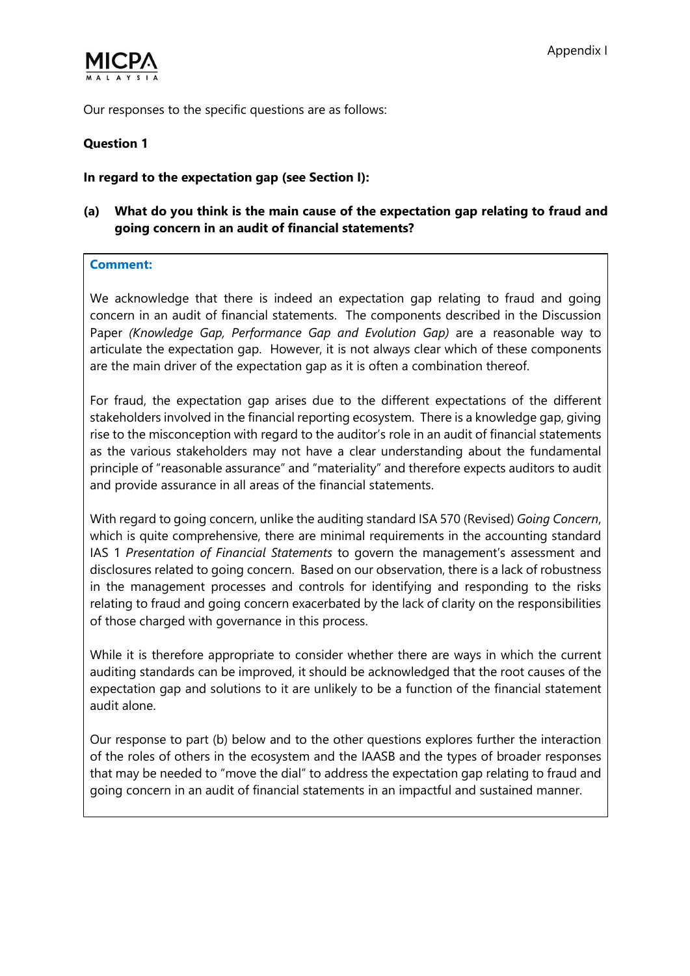

Our responses to the specific questions are as follows:

### Question 1

#### In regard to the expectation gap (see Section I):

## (a) What do you think is the main cause of the expectation gap relating to fraud and going concern in an audit of financial statements?

#### Comment:

We acknowledge that there is indeed an expectation gap relating to fraud and going concern in an audit of financial statements. The components described in the Discussion Paper (Knowledge Gap, Performance Gap and Evolution Gap) are a reasonable way to articulate the expectation gap. However, it is not always clear which of these components are the main driver of the expectation gap as it is often a combination thereof.

For fraud, the expectation gap arises due to the different expectations of the different stakeholders involved in the financial reporting ecosystem. There is a knowledge gap, giving rise to the misconception with regard to the auditor's role in an audit of financial statements as the various stakeholders may not have a clear understanding about the fundamental principle of "reasonable assurance" and "materiality" and therefore expects auditors to audit and provide assurance in all areas of the financial statements.

With regard to going concern, unlike the auditing standard ISA 570 (Revised) Going Concern, which is quite comprehensive, there are minimal requirements in the accounting standard IAS 1 Presentation of Financial Statements to govern the management's assessment and disclosures related to going concern. Based on our observation, there is a lack of robustness in the management processes and controls for identifying and responding to the risks relating to fraud and going concern exacerbated by the lack of clarity on the responsibilities of those charged with governance in this process.

While it is therefore appropriate to consider whether there are ways in which the current auditing standards can be improved, it should be acknowledged that the root causes of the expectation gap and solutions to it are unlikely to be a function of the financial statement audit alone.

Our response to part (b) below and to the other questions explores further the interaction of the roles of others in the ecosystem and the IAASB and the types of broader responses that may be needed to "move the dial" to address the expectation gap relating to fraud and going concern in an audit of financial statements in an impactful and sustained manner.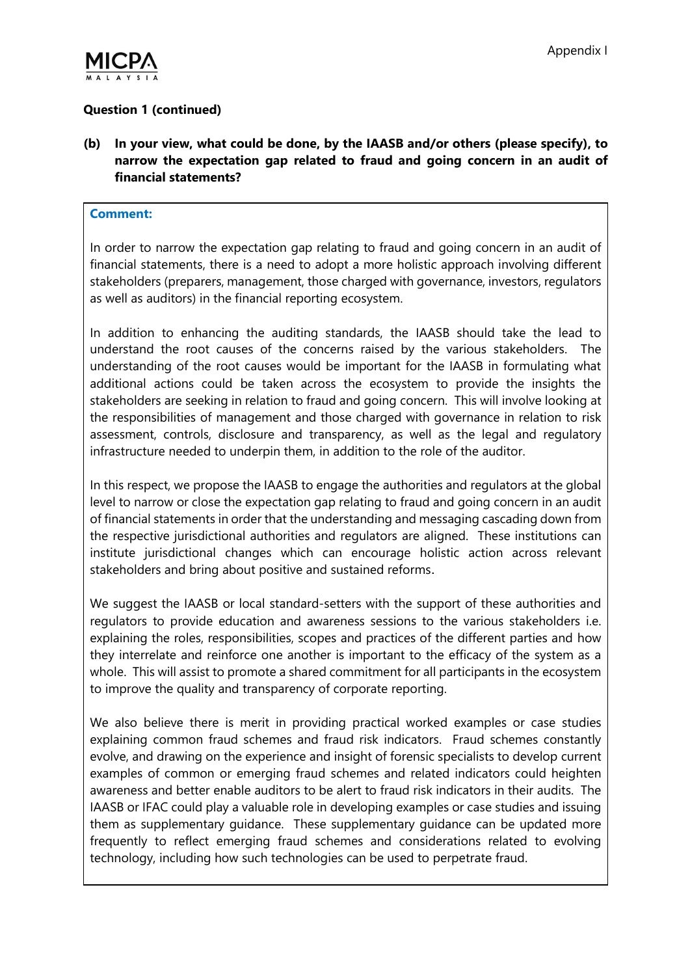

# Question 1 (continued)

(b) In your view, what could be done, by the IAASB and/or others (please specify), to narrow the expectation gap related to fraud and going concern in an audit of financial statements?

#### Comment:

In order to narrow the expectation gap relating to fraud and going concern in an audit of financial statements, there is a need to adopt a more holistic approach involving different stakeholders (preparers, management, those charged with governance, investors, regulators as well as auditors) in the financial reporting ecosystem.

In addition to enhancing the auditing standards, the IAASB should take the lead to understand the root causes of the concerns raised by the various stakeholders. The understanding of the root causes would be important for the IAASB in formulating what additional actions could be taken across the ecosystem to provide the insights the stakeholders are seeking in relation to fraud and going concern. This will involve looking at the responsibilities of management and those charged with governance in relation to risk assessment, controls, disclosure and transparency, as well as the legal and regulatory infrastructure needed to underpin them, in addition to the role of the auditor.

In this respect, we propose the IAASB to engage the authorities and regulators at the global level to narrow or close the expectation gap relating to fraud and going concern in an audit of financial statements in order that the understanding and messaging cascading down from the respective jurisdictional authorities and regulators are aligned. These institutions can institute jurisdictional changes which can encourage holistic action across relevant stakeholders and bring about positive and sustained reforms.

We suggest the IAASB or local standard-setters with the support of these authorities and regulators to provide education and awareness sessions to the various stakeholders i.e. explaining the roles, responsibilities, scopes and practices of the different parties and how they interrelate and reinforce one another is important to the efficacy of the system as a whole. This will assist to promote a shared commitment for all participants in the ecosystem to improve the quality and transparency of corporate reporting.

We also believe there is merit in providing practical worked examples or case studies explaining common fraud schemes and fraud risk indicators. Fraud schemes constantly evolve, and drawing on the experience and insight of forensic specialists to develop current examples of common or emerging fraud schemes and related indicators could heighten awareness and better enable auditors to be alert to fraud risk indicators in their audits. The IAASB or IFAC could play a valuable role in developing examples or case studies and issuing them as supplementary guidance. These supplementary guidance can be updated more frequently to reflect emerging fraud schemes and considerations related to evolving technology, including how such technologies can be used to perpetrate fraud.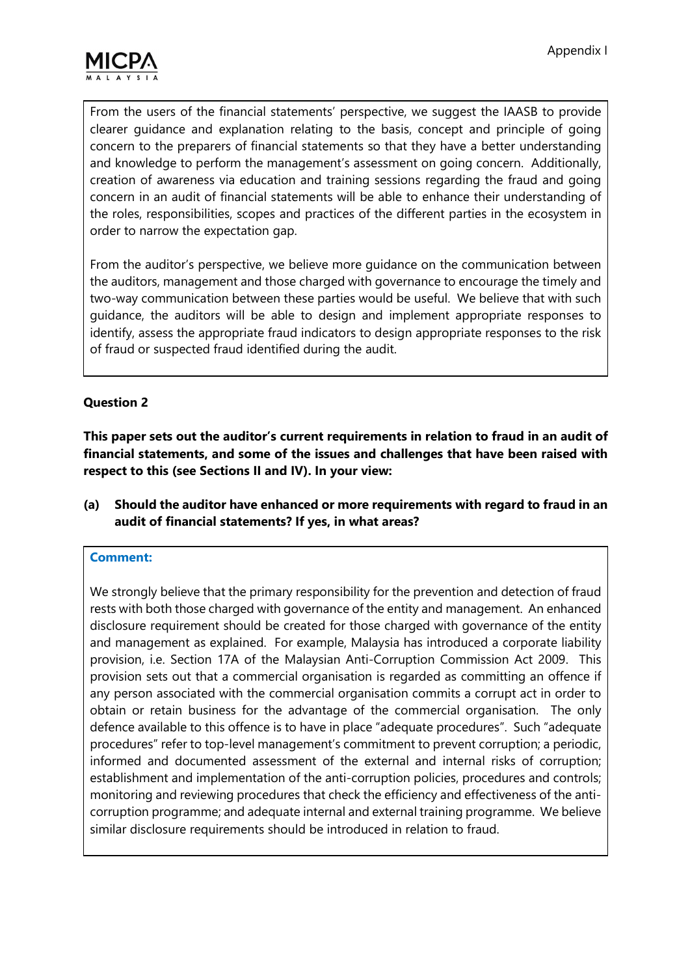

From the users of the financial statements' perspective, we suggest the IAASB to provide clearer guidance and explanation relating to the basis, concept and principle of going concern to the preparers of financial statements so that they have a better understanding and knowledge to perform the management's assessment on going concern. Additionally, creation of awareness via education and training sessions regarding the fraud and going concern in an audit of financial statements will be able to enhance their understanding of the roles, responsibilities, scopes and practices of the different parties in the ecosystem in order to narrow the expectation gap.

From the auditor's perspective, we believe more guidance on the communication between the auditors, management and those charged with governance to encourage the timely and two-way communication between these parties would be useful. We believe that with such guidance, the auditors will be able to design and implement appropriate responses to identify, assess the appropriate fraud indicators to design appropriate responses to the risk of fraud or suspected fraud identified during the audit.

### Question 2

This paper sets out the auditor's current requirements in relation to fraud in an audit of financial statements, and some of the issues and challenges that have been raised with respect to this (see Sections II and IV). In your view:

(a) Should the auditor have enhanced or more requirements with regard to fraud in an audit of financial statements? If yes, in what areas?

### Comment:

We strongly believe that the primary responsibility for the prevention and detection of fraud rests with both those charged with governance of the entity and management. An enhanced disclosure requirement should be created for those charged with governance of the entity and management as explained. For example, Malaysia has introduced a corporate liability provision, i.e. Section 17A of the Malaysian Anti-Corruption Commission Act 2009. This provision sets out that a commercial organisation is regarded as committing an offence if any person associated with the commercial organisation commits a corrupt act in order to obtain or retain business for the advantage of the commercial organisation. The only defence available to this offence is to have in place "adequate procedures". Such "adequate procedures" refer to top-level management's commitment to prevent corruption; a periodic, informed and documented assessment of the external and internal risks of corruption; establishment and implementation of the anti-corruption policies, procedures and controls; monitoring and reviewing procedures that check the efficiency and effectiveness of the anticorruption programme; and adequate internal and external training programme. We believe similar disclosure requirements should be introduced in relation to fraud.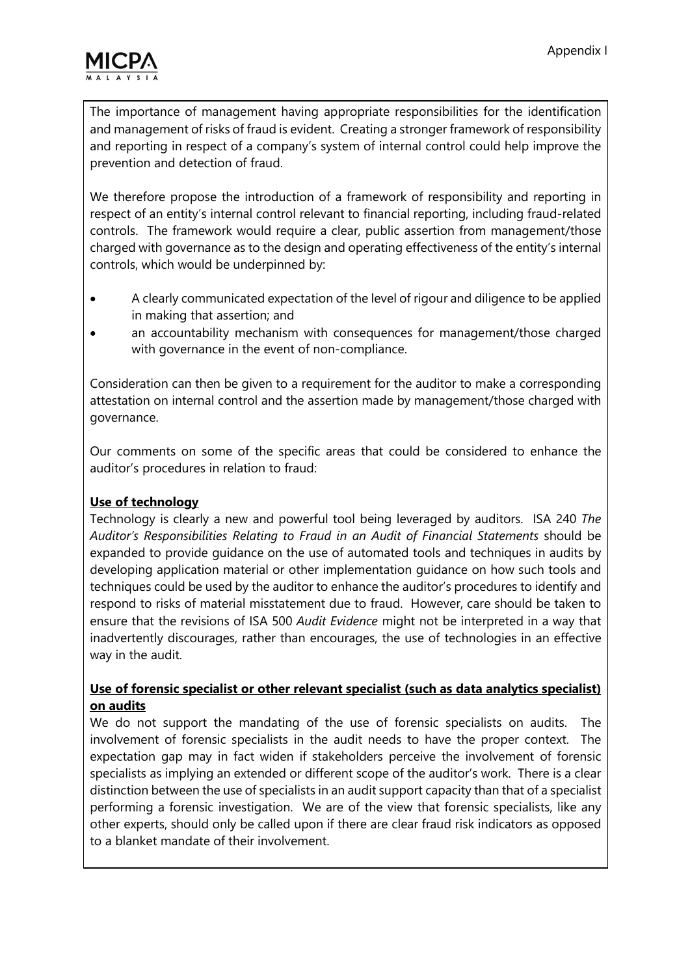

The importance of management having appropriate responsibilities for the identification and management of risks of fraud is evident. Creating a stronger framework of responsibility and reporting in respect of a company's system of internal control could help improve the prevention and detection of fraud.

We therefore propose the introduction of a framework of responsibility and reporting in respect of an entity's internal control relevant to financial reporting, including fraud-related controls. The framework would require a clear, public assertion from management/those charged with governance as to the design and operating effectiveness of the entity's internal controls, which would be underpinned by:

- A clearly communicated expectation of the level of rigour and diligence to be applied in making that assertion; and
- an accountability mechanism with consequences for management/those charged with governance in the event of non-compliance.

Consideration can then be given to a requirement for the auditor to make a corresponding attestation on internal control and the assertion made by management/those charged with governance.

Our comments on some of the specific areas that could be considered to enhance the auditor's procedures in relation to fraud:

## Use of technology

Technology is clearly a new and powerful tool being leveraged by auditors. ISA 240 The Auditor's Responsibilities Relating to Fraud in an Audit of Financial Statements should be expanded to provide guidance on the use of automated tools and techniques in audits by developing application material or other implementation guidance on how such tools and techniques could be used by the auditor to enhance the auditor's procedures to identify and respond to risks of material misstatement due to fraud. However, care should be taken to ensure that the revisions of ISA 500 Audit Evidence might not be interpreted in a way that inadvertently discourages, rather than encourages, the use of technologies in an effective way in the audit.

### Use of forensic specialist or other relevant specialist (such as data analytics specialist) on audits

We do not support the mandating of the use of forensic specialists on audits. The involvement of forensic specialists in the audit needs to have the proper context. The expectation gap may in fact widen if stakeholders perceive the involvement of forensic specialists as implying an extended or different scope of the auditor's work. There is a clear distinction between the use of specialists in an audit support capacity than that of a specialist performing a forensic investigation. We are of the view that forensic specialists, like any other experts, should only be called upon if there are clear fraud risk indicators as opposed to a blanket mandate of their involvement.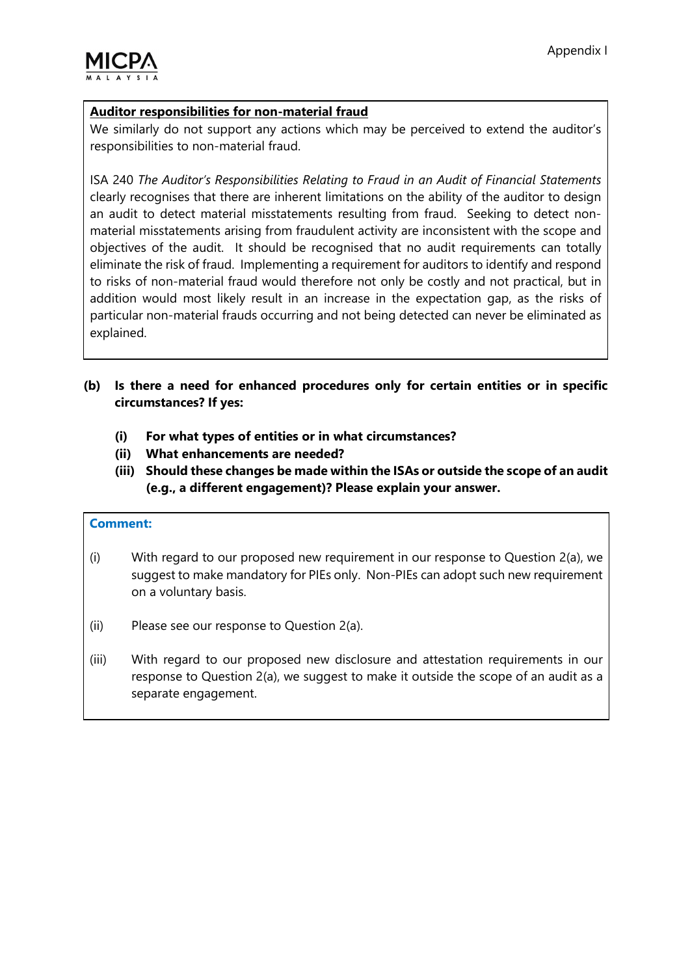

### Auditor responsibilities for non-material fraud

We similarly do not support any actions which may be perceived to extend the auditor's responsibilities to non-material fraud.

ISA 240 The Auditor's Responsibilities Relating to Fraud in an Audit of Financial Statements clearly recognises that there are inherent limitations on the ability of the auditor to design an audit to detect material misstatements resulting from fraud. Seeking to detect nonmaterial misstatements arising from fraudulent activity are inconsistent with the scope and objectives of the audit. It should be recognised that no audit requirements can totally eliminate the risk of fraud. Implementing a requirement for auditors to identify and respond to risks of non-material fraud would therefore not only be costly and not practical, but in addition would most likely result in an increase in the expectation gap, as the risks of particular non-material frauds occurring and not being detected can never be eliminated as explained.

## (b) Is there a need for enhanced procedures only for certain entities or in specific circumstances? If yes:

- (i) For what types of entities or in what circumstances?
- (ii) What enhancements are needed?
- (iii) Should these changes be made within the ISAs or outside the scope of an audit (e.g., a different engagement)? Please explain your answer.

#### Comment:

- (i) With regard to our proposed new requirement in our response to Question 2(a), we suggest to make mandatory for PIEs only. Non-PIEs can adopt such new requirement on a voluntary basis.
- (ii) Please see our response to Question 2(a).
- (iii) With regard to our proposed new disclosure and attestation requirements in our response to Question 2(a), we suggest to make it outside the scope of an audit as a separate engagement.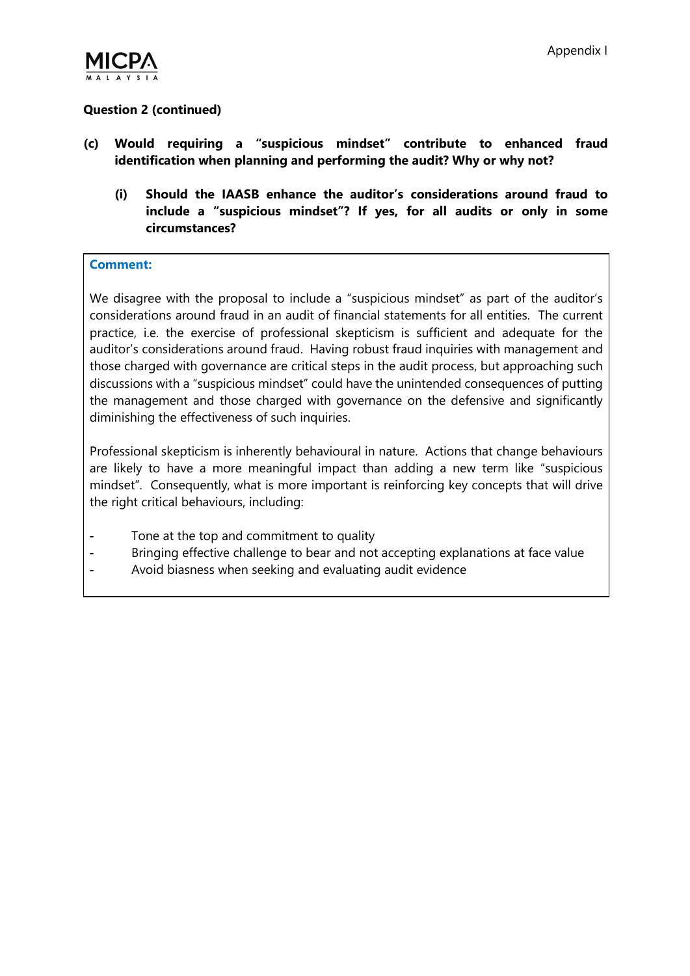

## Question 2 (continued)

- (c) Would requiring a "suspicious mindset" contribute to enhanced fraud identification when planning and performing the audit? Why or why not?
	- (i) Should the IAASB enhance the auditor's considerations around fraud to include a "suspicious mindset"? If yes, for all audits or only in some circumstances?

#### Comment:

We disagree with the proposal to include a "suspicious mindset" as part of the auditor's considerations around fraud in an audit of financial statements for all entities. The current practice, i.e. the exercise of professional skepticism is sufficient and adequate for the auditor's considerations around fraud. Having robust fraud inquiries with management and those charged with governance are critical steps in the audit process, but approaching such discussions with a "suspicious mindset" could have the unintended consequences of putting the management and those charged with governance on the defensive and significantly diminishing the effectiveness of such inquiries.

Professional skepticism is inherently behavioural in nature. Actions that change behaviours are likely to have a more meaningful impact than adding a new term like "suspicious mindset". Consequently, what is more important is reinforcing key concepts that will drive the right critical behaviours, including:

- Tone at the top and commitment to quality
- Bringing effective challenge to bear and not accepting explanations at face value
- Avoid biasness when seeking and evaluating audit evidence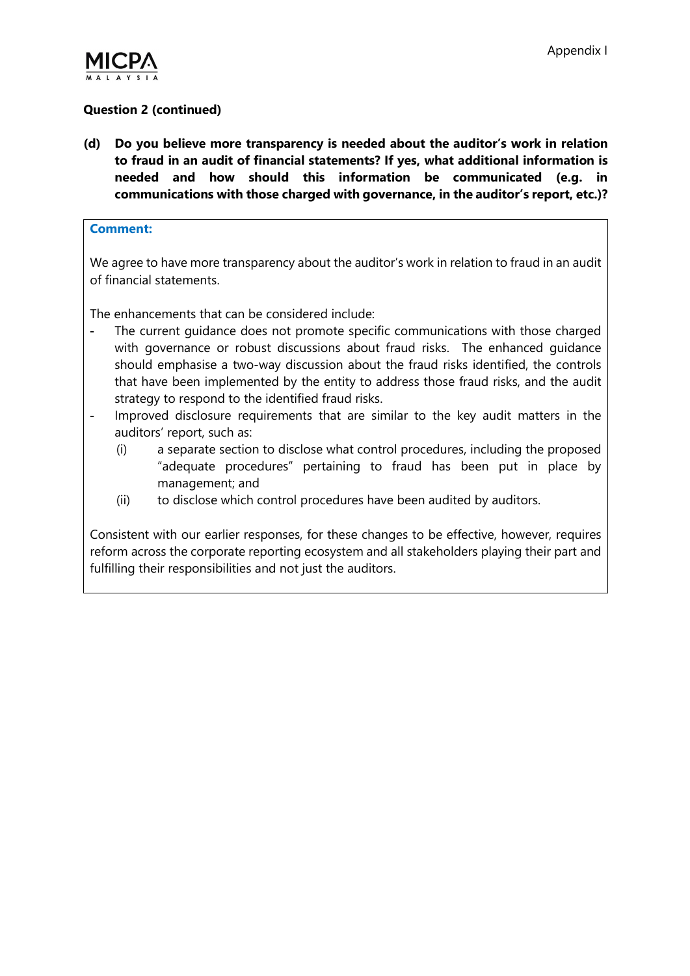

## Question 2 (continued)

(d) Do you believe more transparency is needed about the auditor's work in relation to fraud in an audit of financial statements? If yes, what additional information is needed and how should this information be communicated (e.g. in communications with those charged with governance, in the auditor's report, etc.)?

#### Comment:

We agree to have more transparency about the auditor's work in relation to fraud in an audit of financial statements.

The enhancements that can be considered include:

- The current guidance does not promote specific communications with those charged with governance or robust discussions about fraud risks. The enhanced guidance should emphasise a two-way discussion about the fraud risks identified, the controls that have been implemented by the entity to address those fraud risks, and the audit strategy to respond to the identified fraud risks.
- Improved disclosure requirements that are similar to the key audit matters in the auditors' report, such as:
	- (i) a separate section to disclose what control procedures, including the proposed "adequate procedures" pertaining to fraud has been put in place by management; and
	- (ii) to disclose which control procedures have been audited by auditors.

Consistent with our earlier responses, for these changes to be effective, however, requires reform across the corporate reporting ecosystem and all stakeholders playing their part and fulfilling their responsibilities and not just the auditors.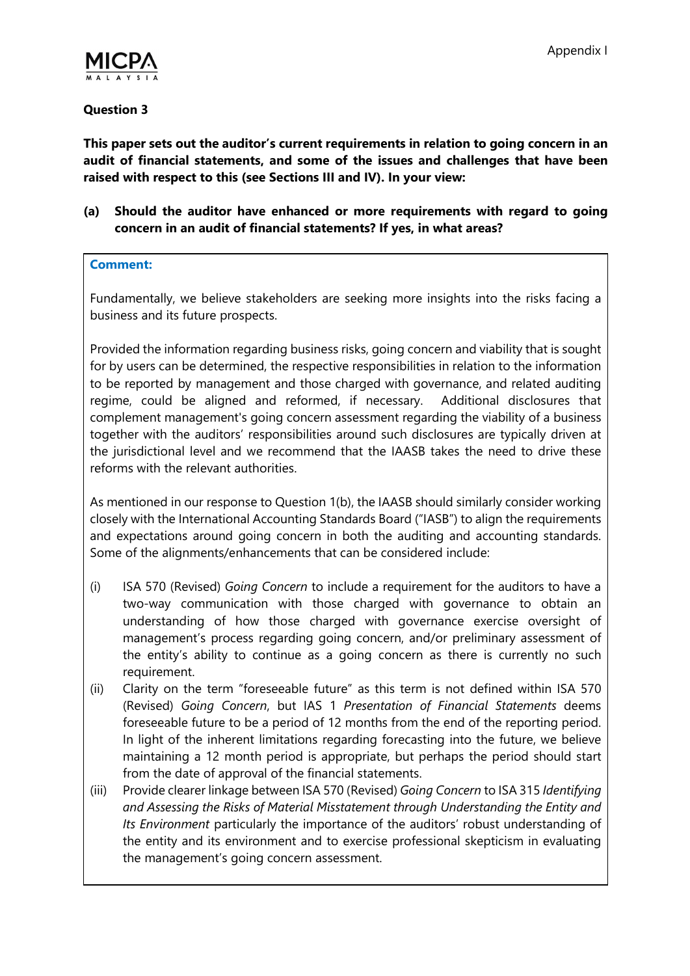

### Question 3

This paper sets out the auditor's current requirements in relation to going concern in an audit of financial statements, and some of the issues and challenges that have been raised with respect to this (see Sections III and IV). In your view:

(a) Should the auditor have enhanced or more requirements with regard to going concern in an audit of financial statements? If yes, in what areas?

#### Comment:

Fundamentally, we believe stakeholders are seeking more insights into the risks facing a business and its future prospects.

Provided the information regarding business risks, going concern and viability that is sought for by users can be determined, the respective responsibilities in relation to the information to be reported by management and those charged with governance, and related auditing regime, could be aligned and reformed, if necessary. Additional disclosures that complement management's going concern assessment regarding the viability of a business together with the auditors' responsibilities around such disclosures are typically driven at the jurisdictional level and we recommend that the IAASB takes the need to drive these reforms with the relevant authorities.

As mentioned in our response to Question 1(b), the IAASB should similarly consider working closely with the International Accounting Standards Board ("IASB") to align the requirements and expectations around going concern in both the auditing and accounting standards. Some of the alignments/enhancements that can be considered include:

- (i) ISA 570 (Revised) Going Concern to include a requirement for the auditors to have a two-way communication with those charged with governance to obtain an understanding of how those charged with governance exercise oversight of management's process regarding going concern, and/or preliminary assessment of the entity's ability to continue as a going concern as there is currently no such requirement.
- (ii) Clarity on the term "foreseeable future" as this term is not defined within ISA 570 (Revised) Going Concern, but IAS 1 Presentation of Financial Statements deems foreseeable future to be a period of 12 months from the end of the reporting period. In light of the inherent limitations regarding forecasting into the future, we believe maintaining a 12 month period is appropriate, but perhaps the period should start from the date of approval of the financial statements.
- (iii) Provide clearer linkage between ISA 570 (Revised) Going Concern to ISA 315 Identifying and Assessing the Risks of Material Misstatement through Understanding the Entity and Its Environment particularly the importance of the auditors' robust understanding of the entity and its environment and to exercise professional skepticism in evaluating the management's going concern assessment.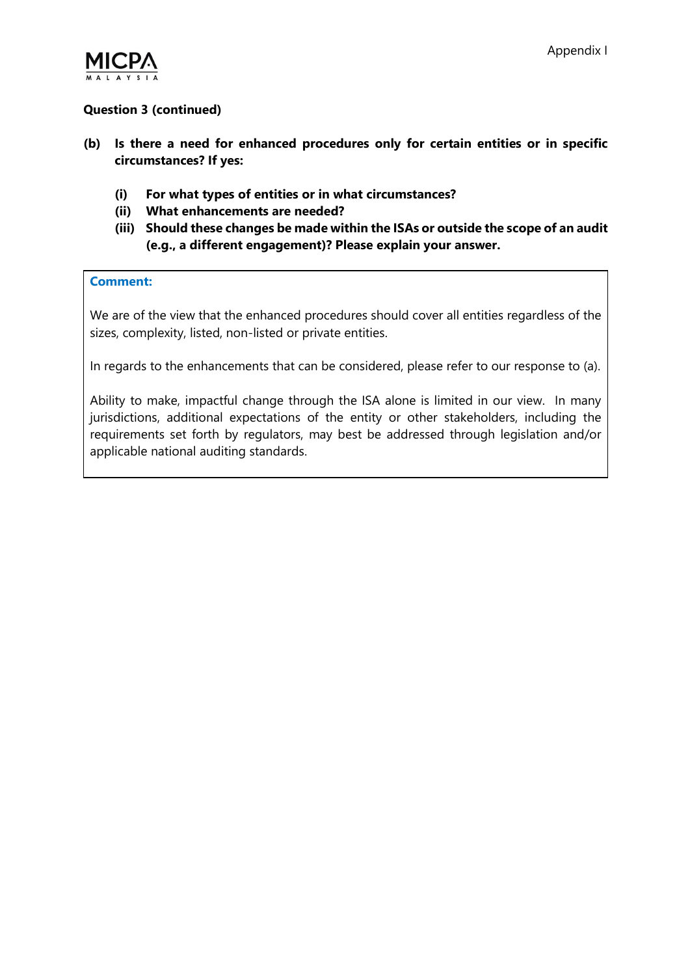

## Question 3 (continued)

- (b) Is there a need for enhanced procedures only for certain entities or in specific circumstances? If yes:
	- (i) For what types of entities or in what circumstances?
	- (ii) What enhancements are needed?
	- (iii) Should these changes be made within the ISAs or outside the scope of an audit (e.g., a different engagement)? Please explain your answer.

#### Comment:

We are of the view that the enhanced procedures should cover all entities regardless of the sizes, complexity, listed, non-listed or private entities.

In regards to the enhancements that can be considered, please refer to our response to (a).

Ability to make, impactful change through the ISA alone is limited in our view. In many jurisdictions, additional expectations of the entity or other stakeholders, including the requirements set forth by regulators, may best be addressed through legislation and/or applicable national auditing standards.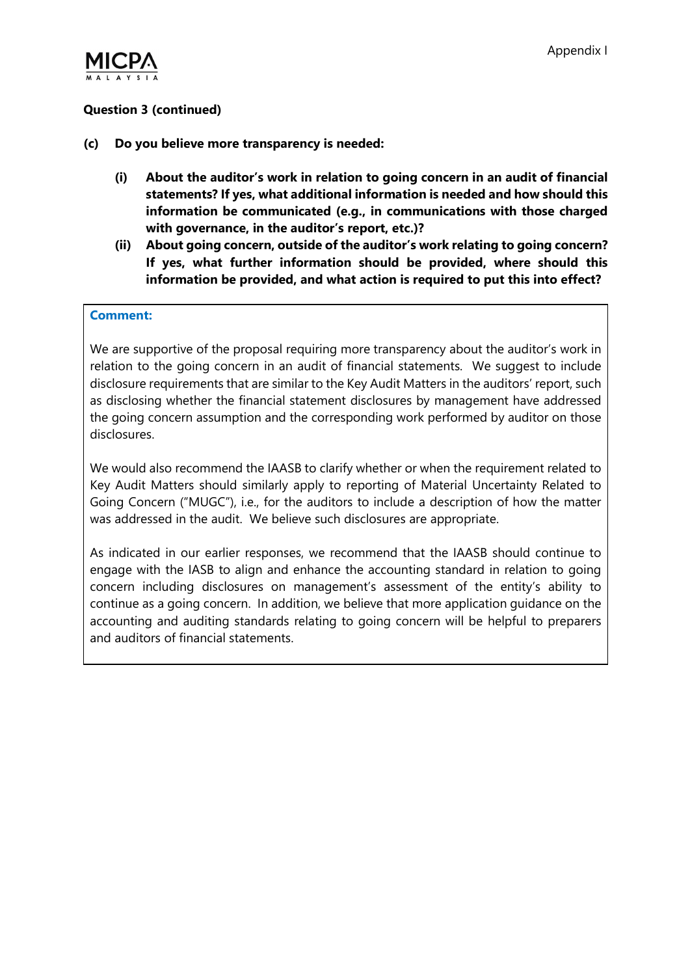

## Question 3 (continued)

- (c) Do you believe more transparency is needed:
	- (i) About the auditor's work in relation to going concern in an audit of financial statements? If yes, what additional information is needed and how should this information be communicated (e.g., in communications with those charged with governance, in the auditor's report, etc.)?
	- (ii) About going concern, outside of the auditor's work relating to going concern? If yes, what further information should be provided, where should this information be provided, and what action is required to put this into effect?

#### Comment:

We are supportive of the proposal requiring more transparency about the auditor's work in relation to the going concern in an audit of financial statements. We suggest to include disclosure requirements that are similar to the Key Audit Matters in the auditors' report, such as disclosing whether the financial statement disclosures by management have addressed the going concern assumption and the corresponding work performed by auditor on those disclosures.

We would also recommend the IAASB to clarify whether or when the requirement related to Key Audit Matters should similarly apply to reporting of Material Uncertainty Related to Going Concern ("MUGC"), i.e., for the auditors to include a description of how the matter was addressed in the audit. We believe such disclosures are appropriate.

As indicated in our earlier responses, we recommend that the IAASB should continue to engage with the IASB to align and enhance the accounting standard in relation to going concern including disclosures on management's assessment of the entity's ability to continue as a going concern. In addition, we believe that more application guidance on the accounting and auditing standards relating to going concern will be helpful to preparers and auditors of financial statements.